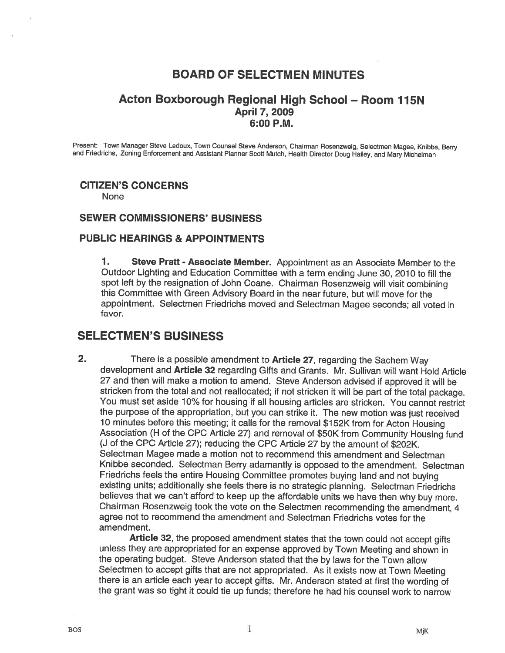# BOARD OF SELECTMEN MINUTES

## Acton Boxborough Regional High School — Room 175N April 7, 2009 6:00 P.M.

Present: Town Manager Steve Ledoux, Town Counsel Steve Anderson, Chairman Rosenzweig, Selectmen Magee, Knibbe, Berry<br>and Friedrichs, Zoning Enforcement and Assistant Planner Scott Mutch, Health Director Doug Halley, and Ma

# CITIZEN'S CONCERNS

None

### SEWER COMMISSIONERS' BUSINESS

### PUBLIC HEARINGS & APPOINTMENTS

1. Steve Pratt - Associate Member. Appointment as an Associate Member to the Outdoor Lighting and Education Committee with <sup>a</sup> term ending June 30, <sup>2010</sup> to fill the this Committee with Green Advisory Board in the near future, but will move for the appointment. Selectmen Friedrichs moved and Selectman Magee seconds; all voted in favor.

# SELECTMEN'S BUSINESS

2. There is a possible amendment to Article 27, regarding the Sachem Way development and Article 32 regarding Gifts and Grants. Mr. Sullivan will want Hold Article <sup>27</sup> and then will make <sup>a</sup> motion to amend. Steve Anderson advised if approved it will be stricken from the total and not reallocated; if not stricken it will be part of the total package. You must set aside 10% for housing if all housing articles are stricken. You cannot restrict the purpose of the appropriation, but you can strike it. The new motion was just received <sup>10</sup> minutes before this meeting; it calls for the removal \$152K from for Acton Housing Association (H of the CPC Article 27) and removal of \$50K from Community Housing fund (J of the CPC Article 27); reducing the CPC Article <sup>27</sup> by the amount of \$202K. Selectman Magee made <sup>a</sup> motion not to recommend this amendment and Selectman Knibbe seconded. Selectman Berry adamantly is opposed to the amendment. Selectman Friedrichs feels the entire Housing Committee promotes buying land and not buying existing units; additionally she feels there is no strategic <sup>p</sup>lanning. Selectman Friedrichs believes that we can't afford to keep up the affordable units we have then why buy more. Chairman Rosenzweig took the vote on the Selectmen recommending the amendment, <sup>4</sup> agree not to recommend the amendment and Selectman Friedrichs votes for the amendment.

Article 32, the proposed amendment states that the town could not accept <sup>g</sup>ifts unless they are appropriated for an expense approved by Town Meeting and shown in the operating budget. Steve Anderson stated that the by laws for the Town allow Selectmen to accept <sup>g</sup>ifts that are not appropriated. As it exists now at Town Meeting there is an article each year to accept <sup>g</sup>ifts. Mr. Anderson stated at first the wording of the grant was so tight it could tie up funds; therefore he had his counsel work to narrow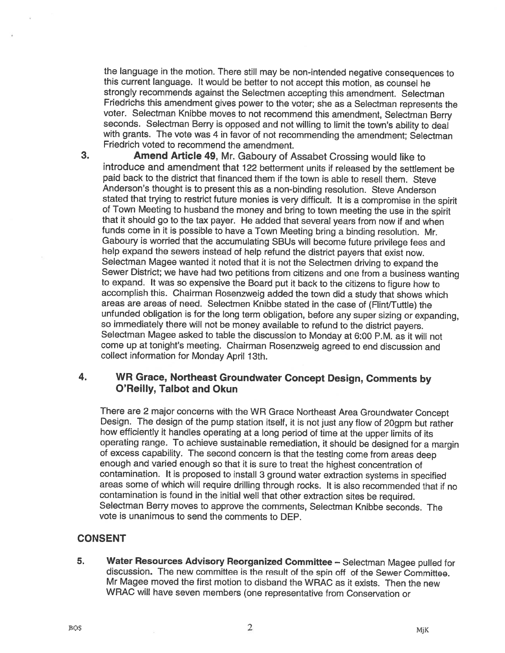the language in the motion. There still may be non-intended negative consequences to this current language. It would be better to not accept this motion, as counsel he strongly recommends against the Selectmen accepting this amendment. Selectman Friedrichs this amendment <sup>g</sup>ives power to the voter; she as <sup>a</sup> Selectman represents the voter. Selectman Knibbe moves to not recommend this amendment, Selectman Berry seconds. Selectman Berry is opposed and not willing to limit the town's ability to deal with grants. The vote was 4 in favor of not recommending the amendment; Selectman Friedrich voted to recommend the amendment.

3. Amend Article 49, Mr. Gaboury of Assabet Crossing would like to introduce and amendment that <sup>122</sup> befferment units if released by the settlement be paid back to the district that financed them if the town is able to resell them. Steve Anderson's thought is to present this as <sup>a</sup> non-binding resolution. Steve Anderson stated that trying to restrict future monies is very difficult. It is a compromise in the spirit of Town Meeting to husband the money and bring to town meeting the use in the spirit that it should go to the tax payer. He added that several years from now if and when funds come in it is possible to have <sup>a</sup> Town Meeting bring <sup>a</sup> binding resolution. Mr. Gaboury is worried that the accumulating SBUs will become future privilege fees and help expand the sewers instead of help refund the district payers that exist now.<br>Selectman Magee wanted it noted that it is not the Selectmen driving to expand the Selectman Magee wanted it noted that it is not the Selectmen driving to expand the<br>Sewer District; we have had two petitions from citizens and one from a business wanting to expand. It was so expensive the Board put it back to the citizens to figure how to accomplish this. Chairman Rosenzweig added the town did <sup>a</sup> study that shows which areas are areas of need. Selectmen Knibbe stated in the case of (FIinVTuffle) the unfunded obligation is for the long term obligation, before any super sizing or expanding, so immediately there will not be money available to refund to the district payers. Selectman Magee asked to table the discussion to Monday at 6:00 P.M. as it will not come up at tonight's meeting. Chairman Rosenzweig agreed to end discussion and collect information for Monday April 13th.

## 4. WR Grace, Northeast Groundwater Concept Design, Comments by O'Reilly, Talbot and Okun

There are 2 major concerns with the WR Grace Northeast Area Groundwater Concept Design. The design of the pump station itself, it is not just any flow of 20gpm but rather how efficiently it handles operating at <sup>a</sup> long period of time at the upper limits of its operating range. To achieve sustainable remediation, it should be designed for of excess capability. The second concern is that the testing come from areas deep enoug<sup>h</sup> and varied enoug<sup>h</sup> so that it is sure to treat the highest concentration of contamination. It is proposed to install <sup>3</sup> ground water extraction systems in specified areas some of which will require drilling through rocks. It is also recommended that if no contamination is found in the initial well that other extraction sites be required. Selectman Berry moves to approve the comments, Selectman Knibbe seconds. The vote is unanimous to send the comments to DEP.

# CONSENT

5. Water Resources Advisory Reorganized Committee — Selectman Magee pulled for discussion. The new committee is the result of the spin off of the Sewer Committee. Mr Magee moved the first motion to disband the WRAC as it exists. Then the new WRAC will have seven members (one representative from Conservation or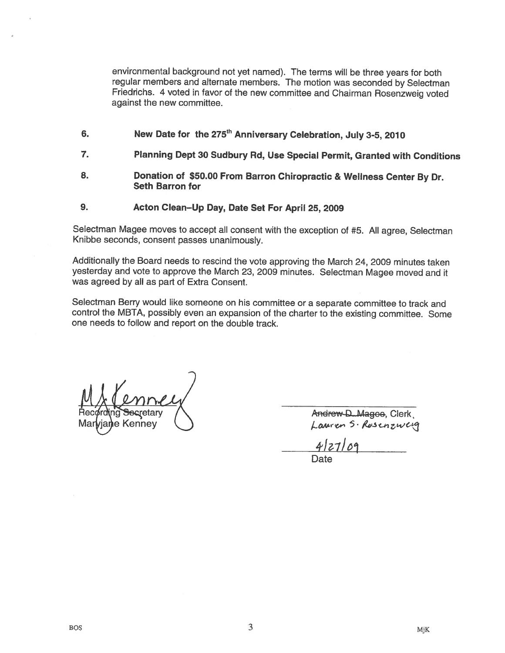environmental background not yet named). The terms will be three years for both regular members and alternate members. The motion was seconded by Selectman Friedrichs. <sup>4</sup> voted in favor of the new committee and Chairman Rosenzweig voted against the new committee.

- 6. New Date for the 275<sup>th</sup> Anniversary Celebration, July 3-5, 2010
- 7. Planning Dept <sup>30</sup> Sudbury Rd, Use Special Permit, Granted with Conditions
- 8. Donation of \$50.00 From Barton Chiropractic & Wellness Center By Dr. Seth Barron for
- 9. Acton Clean—Up Day, Date Set For April 25, 2009

Selectman Magee moves to accept all consent with the exception of #5. All agree, Selectman Knibbe seconds, consent passes unanimously.

Additionally the Board needs to rescind the vote approving the March 24, <sup>2009</sup> minutes taken yesterday and vote to approve the March 23, <sup>2009</sup> minutes. Selectman Magee moved and it was agreed by all as part of Extra Consent.

Selectman Berry would like someone on his committee or <sup>a</sup> separate committee to track and control the MBTA, possibly even an expansion of the charter to the existing committee. Some one needs to follow and report on the double track.

e Kenney

Andrew-D...Magoo, Clerk<br>Lauren 5 · Rosenzweig

 $4|27|$ Date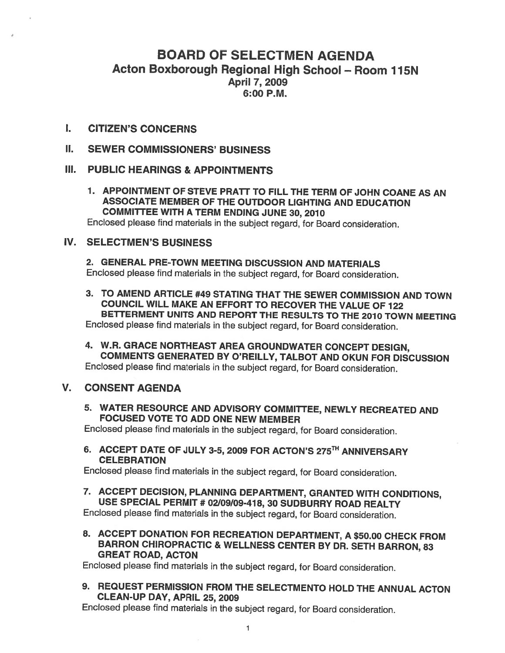# BOARD OF SELECTMEN AGENDA Acton Boxborough Regional High School - Room 115N April 7, 2009 6:00 P.M.

- $\mathbf{L}$ CITIZEN'S CONCERNS
- Н. SEWER COMMISSIONERS' BUSINESS

### III. PUBLIC HEARINGS & APPOINTMENTS

1. APPOINTMENT OF STEVE PRATT TO FILL THE TERM OF JOHN COANE AS AN ASSOCIATE MEMBER OF THE OUTDOOR LIGHTING AND EDUCATION COMMITTEE WITH A TERM ENDING JUNE 30, 2010

Enclosed <sup>p</sup>lease find materials in the subject regard, for Board consideration.

# IV. SELECTMEN'S BUSINESS

2. GENERAL PRE-TOWN MEETING DISCUSSION AND MATERIALS Enclosed <sup>p</sup>lease find materials in the subject regard, for Board consideration.

3. TO AMEND ARTICLE #49 STATING THAT THE SEWER COMMISSION AND TOWN COUNCIL WILL MAKE AN EFFORT TO RECOVER THE VALUE OF 722 BETTERMENT UNITS AND REPORT THE RESULTS TO THE 2070 TOWN MEETING Enclosed <sup>p</sup>lease find materials in the subject regard, for Board consideration.

4. W.R. GRACE NORTHEAST AREA GROUNDWATER CONCEPT DESIGN, COMMENTS GENERATED BY O'REILLY, TALBOT AND OKUN FOR DISCUSSION Enclosed <sup>p</sup>lease find materials in the subject regard, for Board consideration.

### V. CONSENT AGENDA

5. WATER RESOURCE AND ADVISORY COMMITTEE, NEWLY RECREATED AND FOCUSED VOTE TO ADD ONE NEW MEMBER

Enclosed <sup>p</sup>lease find materials in the subject regard, for Board consideration.

6. ACCEPT DATE OF JULY 3-5, 2009 FOR ACTON'S 275<sup>TH</sup> ANNIVERSARY **CELEBRATION** 

Enclosed <sup>p</sup>lease find materials in the subject regard, for Board consideration.

7. ACCEPT DECISION, PLANNING DEPARTMENT, GRANTED WITH CONDITIONS, USE SPECIAL PERMIT #02109/09-478,30 SUDBURRY ROAD REALTY

Enclosed <sup>p</sup>lease find materials in the subject regard, for Board consideration.

8. ACCEPT DONATION FOR RECREATION DEPARTMENT, <sup>A</sup> \$50.00 CHECK FROM BARRON CHIROPRACTIC & WELLNESS CENTER BY DR. SETH BARRON, <sup>83</sup> GREAT ROAD, ACTON

Enclosed <sup>p</sup>lease find materials in the subject regard, for Board consideration.

9. REQUEST PERMISSION FROM THE SELECTMENTO HOLD THE ANNUAL ACTON CLEAN-UP DAY, APRIL 25, 2009

Enclosed <sup>p</sup>lease find materials in the subject regard, for Board consideration.